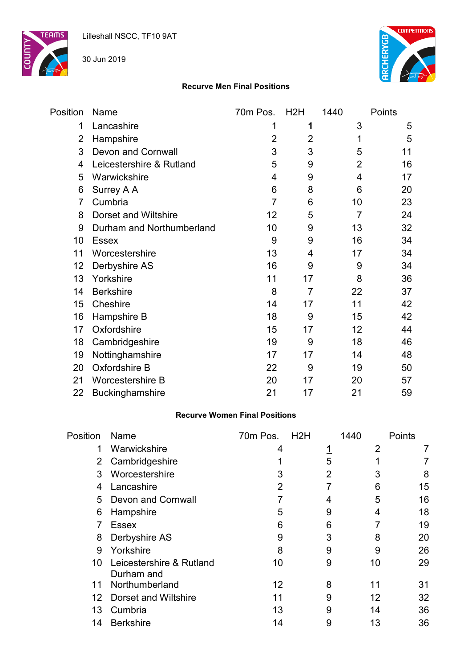

30 Jun 2019



#### **Recurve Men Final Positions**

| Position       | Name                        | 70m Pos.       | H <sub>2</sub> H | 1440           | Points |
|----------------|-----------------------------|----------------|------------------|----------------|--------|
| 1              | Lancashire                  | 1              | 1                | 3              | 5      |
| $\overline{2}$ | Hampshire                   | $\overline{2}$ | $\overline{2}$   | 1              | 5      |
| 3              | <b>Devon and Cornwall</b>   | 3              | 3                | 5              | 11     |
| 4              | Leicestershire & Rutland    | 5              | 9                | $\overline{2}$ | 16     |
| 5              | Warwickshire                | 4              | 9                | 4              | 17     |
| 6              | Surrey A A                  | 6              | 8                | 6              | 20     |
| $\overline{7}$ | Cumbria                     | $\overline{7}$ | 6                | 10             | 23     |
| 8              | <b>Dorset and Wiltshire</b> | 12             | 5                | 7              | 24     |
| 9              | Durham and Northumberland   | 10             | 9                | 13             | 32     |
| 10             | <b>Essex</b>                | 9              | 9                | 16             | 34     |
| 11             | Worcestershire              | 13             | 4                | 17             | 34     |
| 12             | Derbyshire AS               | 16             | 9                | 9              | 34     |
| 13             | Yorkshire                   | 11             | 17               | 8              | 36     |
| 14             | <b>Berkshire</b>            | 8              | $\overline{7}$   | 22             | 37     |
| 15             | Cheshire                    | 14             | 17               | 11             | 42     |
| 16             | Hampshire B                 | 18             | 9                | 15             | 42     |
| 17             | Oxfordshire                 | 15             | 17               | 12             | 44     |
| 18             | Cambridgeshire              | 19             | 9                | 18             | 46     |
| 19             | Nottinghamshire             | 17             | 17               | 14             | 48     |
| 20             | Oxfordshire B               | 22             | 9                | 19             | 50     |
| 21             | Worcestershire B            | 20             | 17               | 20             | 57     |
| 22             | Buckinghamshire             | 21             | 17               | 21             | 59     |

#### **Recurve Women Final Positions**

| Position        | Name                                   | 70m Pos. | H2H | 1440 | Points |
|-----------------|----------------------------------------|----------|-----|------|--------|
| 1               | Warwickshire                           | 4        |     | 2    |        |
| $\mathbf{2}$    | Cambridgeshire                         |          | 5   |      |        |
| 3               | Worcestershire                         | 3        | 2   | 3    | 8      |
| 4               | Lancashire                             | 2        |     | 6    | 15     |
| 5               | Devon and Cornwall                     |          |     | 5    | 16     |
| 6               | Hampshire                              | 5        | 9   | 4    | 18     |
|                 | <b>Essex</b>                           | 6        | 6   |      | 19     |
| 8               | Derbyshire AS                          | 9        | 3   | 8    | 20     |
| 9               | Yorkshire                              | 8        | 9   | 9    | 26     |
| 10              | Leicestershire & Rutland<br>Durham and | 10       | 9   | 10   | 29     |
| 11              | Northumberland                         | 12       | 8   | 11   | 31     |
| 12 <sup>2</sup> | Dorset and Wiltshire                   | 11       | 9   | 12   | 32     |
| 13              | Cumbria                                | 13       | 9   | 14   | 36     |
| 14              | <b>Berkshire</b>                       | 14       | 9   | 13   | 36     |
|                 |                                        |          |     |      |        |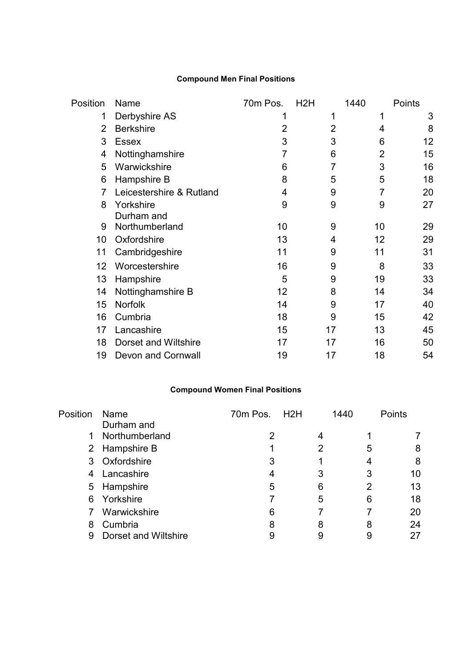# **Compound Men Final Positions**

| Position | Name                        | 70m Pos.       | H <sub>2</sub> H | 1440 | Points |
|----------|-----------------------------|----------------|------------------|------|--------|
| 1        | Derbyshire AS               | 1              | 1                | 1    | 3      |
| 2        | <b>Berkshire</b>            | $\overline{2}$ | 2                | 4    | 8      |
| 3        | <b>Essex</b>                | 3              | 3                | 6    | 12     |
| 4        | Nottinghamshire             | 7              | 6                | 2    | 15     |
| 5        | Warwickshire                | 6              | 7                | 3    | 16     |
| 6        | Hampshire B                 | 8              | 5                | 5    | 18     |
| 7        | Leicestershire & Rutland    | 4              | 9                | 7    | 20     |
| 8        | Yorkshire                   | 9              | 9                | 9    | 27     |
|          | Durham and                  |                |                  |      |        |
| 9        | Northumberland              | 10             | 9                | 10   | 29     |
| 10       | Oxfordshire                 | 13             | 4                | 12   | 29     |
| 11       | Cambridgeshire              | 11             | 9                | 11   | 31     |
| 12       | Worcestershire              | 16             | 9                | 8    | 33     |
| 13       | Hampshire                   | 5              | 9                | 19   | 33     |
| 14       | Nottinghamshire B           | 12             | 8                | 14   | 34     |
| 15       | <b>Norfolk</b>              | 14             | 9                | 17   | 40     |
| 16       | Cumbria                     | 18             | 9                | 15   | 42     |
| 17       | Lancashire                  | 15             | 17               | 13   | 45     |
| 18       | <b>Dorset and Wiltshire</b> | 17             | 17               | 16   | 50     |
| 19       | <b>Devon and Cornwall</b>   | 19             | 17               | 18   | 54     |

# **Compound Women Final Positions**

| Position | Name<br>Durham and   | 70m Pos. H2H |   | 1440 | Points |
|----------|----------------------|--------------|---|------|--------|
| 1        | Northumberland       |              |   |      |        |
|          | 2 Hampshire B        |              | 2 | 5    | 8      |
|          | 3 Oxfordshire        | 3            |   |      | 8      |
| 4        | Lancashire           |              | 3 | 3    | 10     |
|          | 5 Hampshire          | 5            | 6 | 2    | 13     |
| 6        | Yorkshire            |              | 5 | 6    | 18     |
|          | Warwickshire         | 6            |   |      | 20     |
| 8        | Cumbria              | 8            | 8 | 8    | 24     |
| 9        | Dorset and Wiltshire |              |   |      |        |